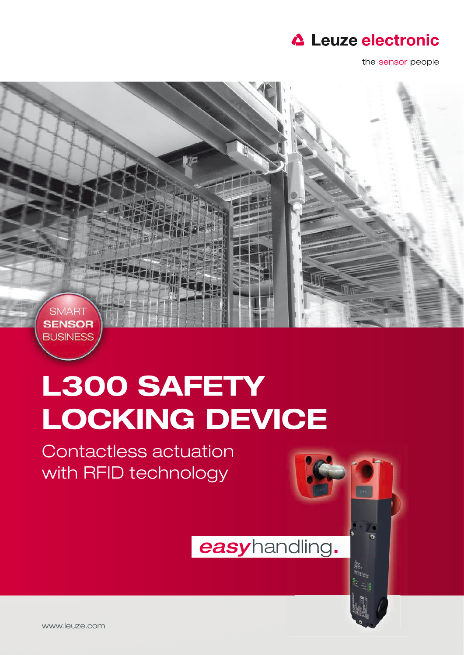

the sensor people



## L300 SAFETY LOCKING DEVICE

Contactless actuation with RFID technology

easyhandling.

**象**<br>咖啡